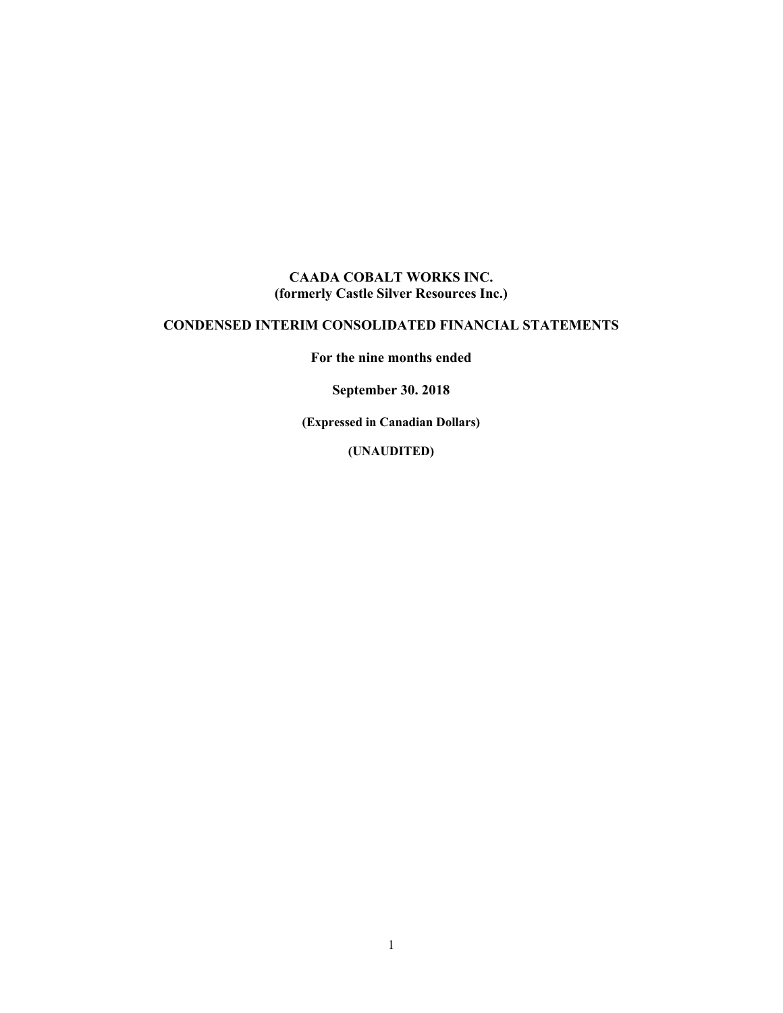#### **CAADA COBALT WORKS INC. (formerly Castle Silver Resources Inc.)**

#### **CONDENSED INTERIM CONSOLIDATED FINANCIAL STATEMENTS**

**For the nine months ended** 

**September 30. 2018** 

**(Expressed in Canadian Dollars)** 

**(UNAUDITED)**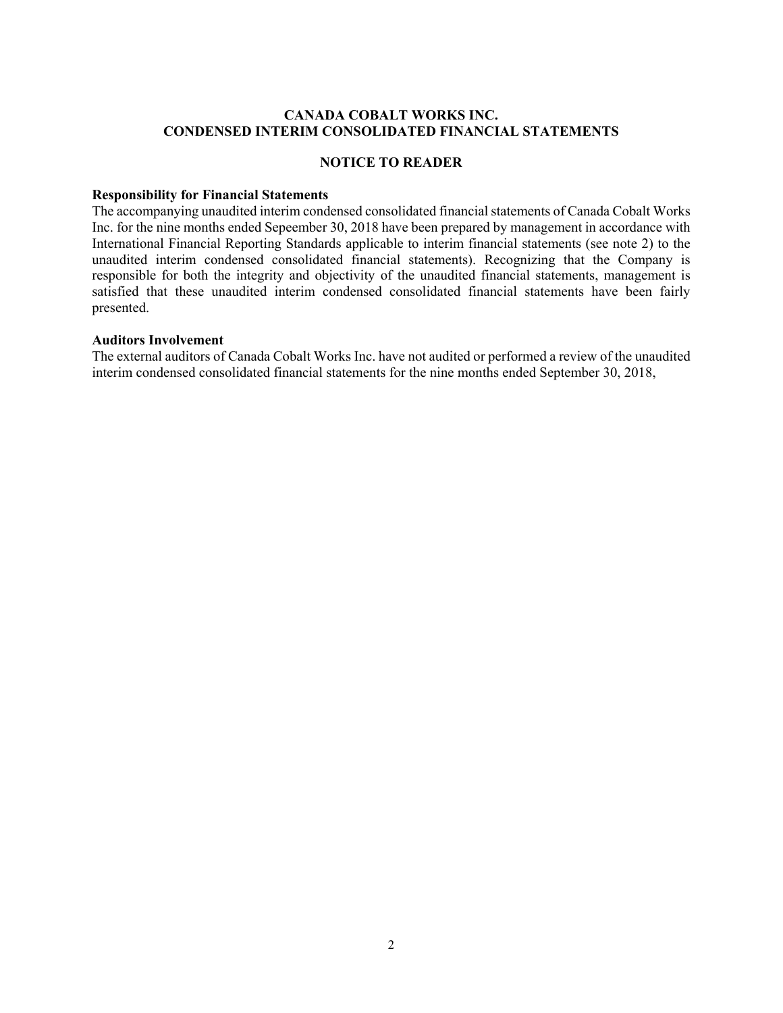#### **CANADA COBALT WORKS INC. CONDENSED INTERIM CONSOLIDATED FINANCIAL STATEMENTS**

#### **NOTICE TO READER**

#### **Responsibility for Financial Statements**

The accompanying unaudited interim condensed consolidated financial statements of Canada Cobalt Works Inc. for the nine months ended Sepeember 30, 2018 have been prepared by management in accordance with International Financial Reporting Standards applicable to interim financial statements (see note 2) to the unaudited interim condensed consolidated financial statements). Recognizing that the Company is responsible for both the integrity and objectivity of the unaudited financial statements, management is satisfied that these unaudited interim condensed consolidated financial statements have been fairly presented.

#### **Auditors Involvement**

The external auditors of Canada Cobalt Works Inc. have not audited or performed a review of the unaudited interim condensed consolidated financial statements for the nine months ended September 30, 2018,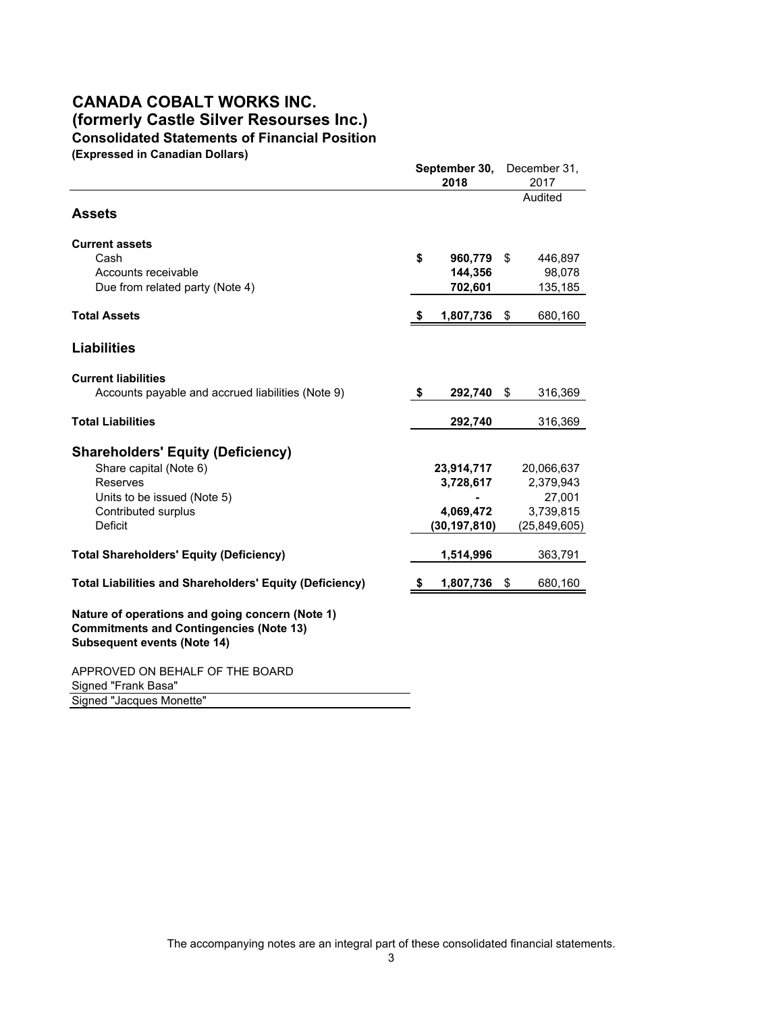#### **CANADA COBALT WORKS INC. (formerly Castle Silver Resourses Inc.) Consolidated Statements of Financial Position (Expressed in Canadian Dollars)**

**September 30,** December 31, **2018** 2017 Audited **Assets Current assets** Cash **\$ 960,779** \$ 446,897 Accounts receivable **144,356** 98,078 Due from related party (Note 4) **702,601** 135,185 **Total Assets \$ 1,807,736** \$ 680,160 **Liabilities Current liabilities** Accounts payable and accrued liabilities (Note 9) **\$ 292,740** \$ 316,369 **Total Liabilities 292,740** 316,369 **Shareholders' Equity (Deficiency)** Share capital (Note 6) **23,914,717** 20,066,637 Reserves **3,728,617** 2,379,943 Units to be issued (Note 5) **-** 27,001 Contributed surplus **4,069,472** 3,739,815 Deficit **(30,197,810)** (25,849,605) **Total Shareholders' Equity (Deficiency) 1,514,996** 363,791 **Total Liabilities and Shareholders' Equity (Deficiency) \$ 1,807,736** \$ 680,160 **Nature of operations and going concern (Note 1) Commitments and Contingencies (Note 13) Subsequent events (Note 14)** APPROVED ON BEHALF OF THE BOARD Signed "Frank Basa" Signed "Jacques Monette"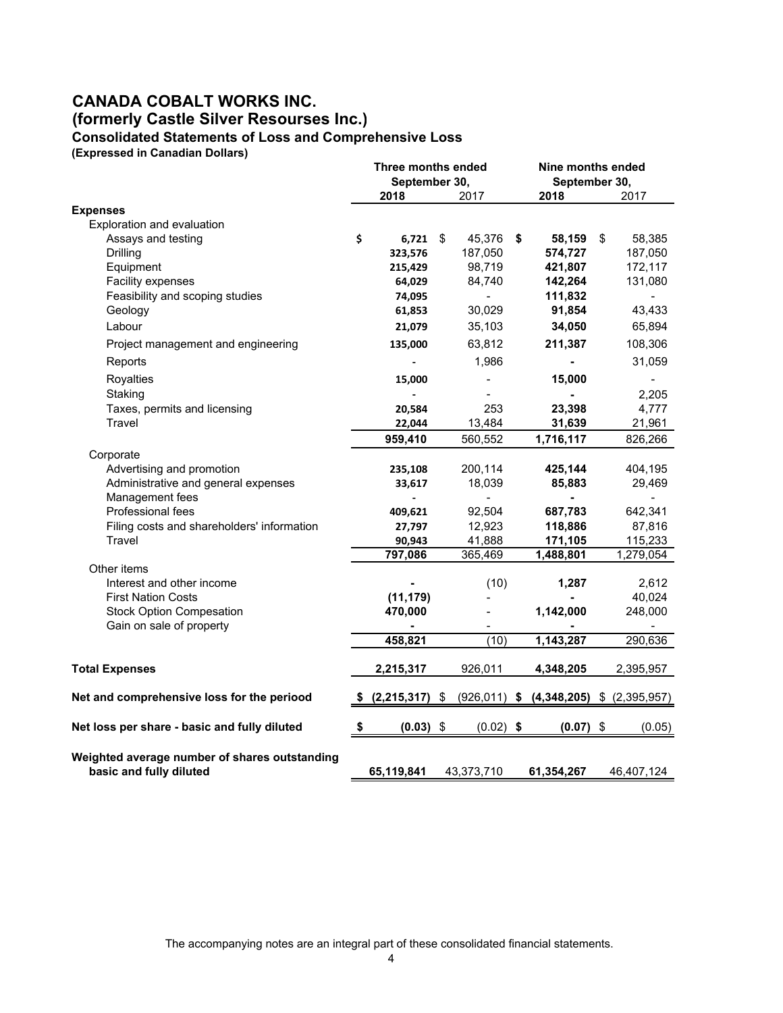#### **CANADA COBALT WORKS INC. (formerly Castle Silver Resourses Inc.) Consolidated Statements of Loss and Comprehensive Loss**

**(Expressed in Canadian Dollars)**

|                                                                          | Three months ended |                          |    |               | Nine months ended  |    |                          |  |
|--------------------------------------------------------------------------|--------------------|--------------------------|----|---------------|--------------------|----|--------------------------|--|
|                                                                          | September 30,      |                          |    |               | September 30,      |    |                          |  |
|                                                                          |                    | 2018                     |    | 2017          | 2018               |    | 2017                     |  |
| <b>Expenses</b>                                                          |                    |                          |    |               |                    |    |                          |  |
| Exploration and evaluation                                               |                    |                          |    |               |                    |    |                          |  |
| Assays and testing                                                       | \$                 | $6,721$ \$               |    | 45,376        | \$<br>58,159       | \$ | 58,385                   |  |
| Drilling                                                                 |                    | 323,576                  |    | 187,050       | 574,727            |    | 187,050                  |  |
| Equipment                                                                |                    | 215,429                  |    | 98,719        | 421,807            |    | 172,117                  |  |
| Facility expenses<br>Feasibility and scoping studies                     |                    | 64,029<br>74,095         |    | 84,740        | 142,264<br>111,832 |    | 131,080                  |  |
| Geology                                                                  |                    | 61,853                   |    | 30,029        | 91,854             |    | $\blacksquare$<br>43,433 |  |
| Labour                                                                   |                    | 21,079                   |    | 35,103        | 34,050             |    | 65,894                   |  |
| Project management and engineering                                       |                    | 135,000                  |    | 63,812        | 211,387            |    | 108,306                  |  |
| Reports                                                                  |                    |                          |    | 1,986         |                    |    | 31,059                   |  |
| Royalties                                                                |                    | 15,000                   |    |               | 15,000             |    |                          |  |
| Staking                                                                  |                    |                          |    |               |                    |    | 2,205                    |  |
| Taxes, permits and licensing                                             |                    | 20,584                   |    | 253           | 23,398             |    | 4,777                    |  |
| Travel                                                                   |                    | 22,044                   |    | 13,484        | 31,639             |    | 21,961                   |  |
|                                                                          |                    | 959,410                  |    | 560,552       | 1,716,117          |    | 826,266                  |  |
| Corporate                                                                |                    |                          |    |               |                    |    |                          |  |
| Advertising and promotion                                                |                    | 235,108                  |    | 200,114       | 425,144            |    | 404,195                  |  |
| Administrative and general expenses                                      |                    | 33,617                   |    | 18,039        | 85,883             |    | 29,469                   |  |
| Management fees                                                          |                    | $\overline{\phantom{0}}$ |    | $\frac{1}{2}$ | $\blacksquare$     |    |                          |  |
| Professional fees                                                        |                    | 409,621                  |    | 92,504        | 687,783            |    | 642,341                  |  |
| Filing costs and shareholders' information                               |                    | 27,797                   |    | 12,923        | 118,886            |    | 87,816                   |  |
| Travel                                                                   |                    | 90,943                   |    | 41,888        | 171,105            |    | 115,233                  |  |
|                                                                          |                    | 797,086                  |    | 365,469       | 1,488,801          |    | 1,279,054                |  |
| Other items<br>Interest and other income                                 |                    |                          |    | (10)          | 1,287              |    | 2,612                    |  |
| <b>First Nation Costs</b>                                                |                    | (11, 179)                |    |               |                    |    | 40,024                   |  |
| <b>Stock Option Compesation</b>                                          |                    | 470,000                  |    |               | 1,142,000          |    | 248,000                  |  |
| Gain on sale of property                                                 |                    |                          |    |               |                    |    | $\blacksquare$           |  |
|                                                                          |                    | 458,821                  |    | (10)          | 1,143,287          |    | 290,636                  |  |
| <b>Total Expenses</b>                                                    |                    | 2,215,317                |    | 926,011       | 4,348,205          |    | 2,395,957                |  |
|                                                                          |                    |                          |    |               |                    |    |                          |  |
| Net and comprehensive loss for the periood                               |                    | \$ (2,215,317)           | \$ | (926, 011)    | \$<br>(4,348,205)  |    | $$$ $(2,395,957)$        |  |
| Net loss per share - basic and fully diluted                             | \$                 | $(0.03)$ \$              |    | $(0.02)$ \$   | $(0.07)$ \$        |    | (0.05)                   |  |
| Weighted average number of shares outstanding<br>basic and fully diluted |                    | 65,119,841               |    | 43,373,710    | 61,354,267         |    | 46,407,124               |  |
|                                                                          |                    |                          |    |               |                    |    |                          |  |

The accompanying notes are an integral part of these consolidated financial statements.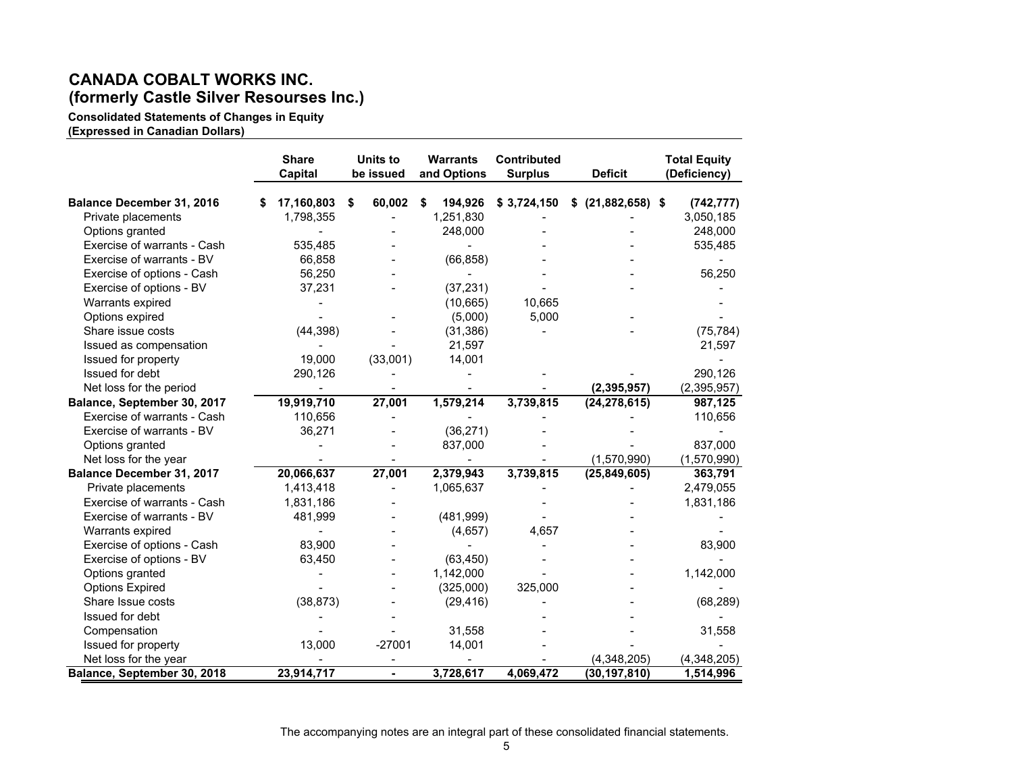# **CANADA COBALT WORKS INC. (formerly Castle Silver Resourses Inc.)**

**Consolidated Statements of Changes in Equity**

**(Expressed in Canadian Dollars)** 

|                                  | <b>Share</b>   | <b>Units to</b> | <b>Warrants</b> | <b>Contributed</b> |                     | <b>Total Equity</b> |
|----------------------------------|----------------|-----------------|-----------------|--------------------|---------------------|---------------------|
|                                  | <b>Capital</b> | be issued       | and Options     | <b>Surplus</b>     | <b>Deficit</b>      | (Deficiency)        |
| Balance December 31, 2016        | 17,160,803     | \$<br>60,002    | 194,926<br>\$   | \$3,724,150        | $$$ (21,882,658) \$ | (742, 777)          |
| Private placements               | 1,798,355      |                 | 1,251,830       |                    |                     | 3,050,185           |
| Options granted                  |                |                 | 248,000         |                    |                     | 248,000             |
| Exercise of warrants - Cash      | 535,485        |                 |                 |                    |                     | 535,485             |
| Exercise of warrants - BV        | 66,858         |                 | (66, 858)       |                    |                     |                     |
| Exercise of options - Cash       | 56,250         |                 |                 |                    |                     | 56,250              |
| Exercise of options - BV         | 37,231         |                 | (37, 231)       |                    |                     |                     |
| Warrants expired                 |                |                 | (10,665)        | 10,665             |                     |                     |
| Options expired                  |                |                 | (5,000)         | 5,000              |                     |                     |
| Share issue costs                | (44, 398)      |                 | (31, 386)       |                    |                     | (75, 784)           |
| Issued as compensation           |                |                 | 21,597          |                    |                     | 21,597              |
| Issued for property              | 19,000         | (33,001)        | 14,001          |                    |                     |                     |
| Issued for debt                  | 290,126        |                 |                 |                    |                     | 290,126             |
| Net loss for the period          |                |                 |                 |                    | (2, 395, 957)       | (2,395,957)         |
| Balance, September 30, 2017      | 19,919,710     | 27,001          | 1,579,214       | 3,739,815          | (24, 278, 615)      | 987,125             |
| Exercise of warrants - Cash      | 110,656        |                 |                 |                    |                     | 110,656             |
| Exercise of warrants - BV        | 36,271         |                 | (36, 271)       |                    |                     |                     |
| Options granted                  |                |                 | 837,000         |                    |                     | 837,000             |
| Net loss for the year            |                |                 |                 |                    | (1,570,990)         | (1,570,990)         |
| <b>Balance December 31, 2017</b> | 20,066,637     | 27,001          | 2,379,943       | 3,739,815          | (25, 849, 605)      | 363,791             |
| Private placements               | 1,413,418      |                 | 1,065,637       |                    |                     | 2,479,055           |
| Exercise of warrants - Cash      | 1,831,186      |                 |                 |                    |                     | 1,831,186           |
| Exercise of warrants - BV        | 481,999        |                 | (481,999)       |                    |                     |                     |
| Warrants expired                 |                |                 | (4,657)         | 4,657              |                     |                     |
| Exercise of options - Cash       | 83,900         |                 |                 |                    |                     | 83,900              |
| Exercise of options - BV         | 63,450         |                 | (63, 450)       |                    |                     |                     |
| Options granted                  |                |                 | 1,142,000       |                    |                     | 1,142,000           |
| <b>Options Expired</b>           |                |                 | (325,000)       | 325,000            |                     |                     |
| Share Issue costs                | (38, 873)      |                 | (29, 416)       |                    |                     | (68, 289)           |
| Issued for debt                  |                |                 |                 |                    |                     |                     |
| Compensation                     |                |                 | 31,558          |                    |                     | 31,558              |
| Issued for property              | 13,000         | $-27001$        | 14,001          |                    |                     |                     |
| Net loss for the year            |                |                 |                 |                    | (4,348,205)         | (4,348,205)         |
| Balance, September 30, 2018      | 23,914,717     | $\blacksquare$  | 3,728,617       | 4,069,472          | (30, 197, 810)      | 1,514,996           |

The accompanying notes are an integral part of these consolidated financial statements.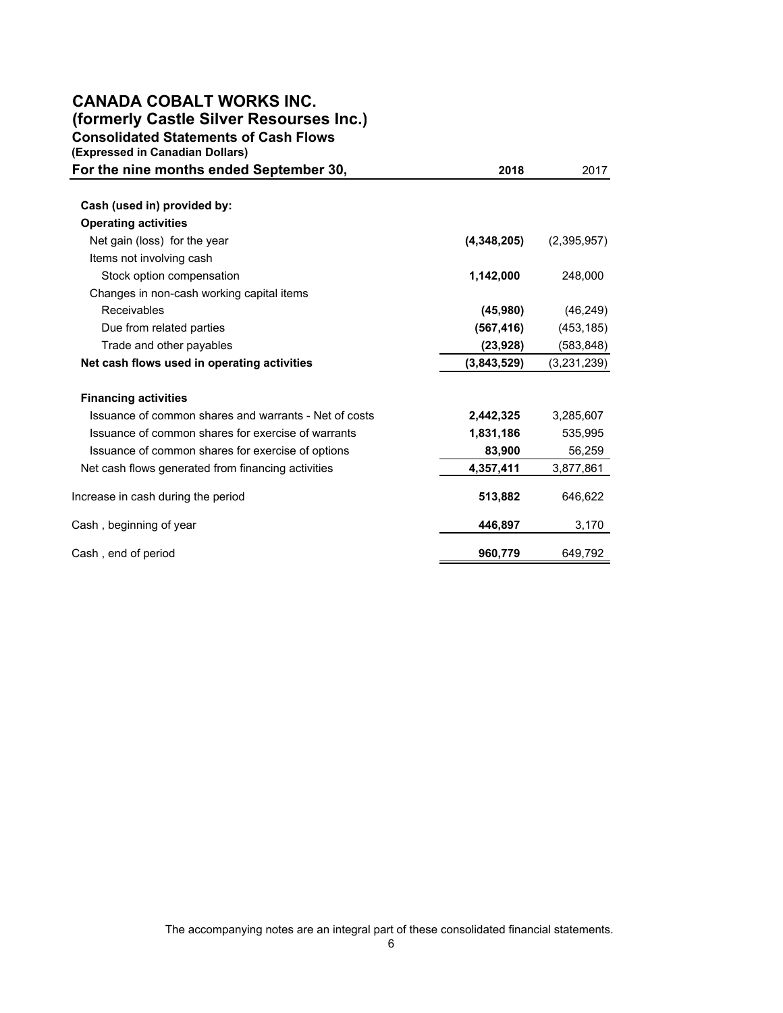# **CANADA COBALT WORKS INC.**

**(formerly Castle Silver Resourses Inc.)**

**Consolidated Statements of Cash Flows**

| (Expressed in Canadian Dollars)                       |             |             |
|-------------------------------------------------------|-------------|-------------|
| For the nine months ended September 30,               | 2018        | 2017        |
|                                                       |             |             |
| Cash (used in) provided by:                           |             |             |
| <b>Operating activities</b>                           |             |             |
| Net gain (loss) for the year                          | (4,348,205) | (2,395,957) |
| Items not involving cash                              |             |             |
| Stock option compensation                             | 1,142,000   | 248,000     |
| Changes in non-cash working capital items             |             |             |
| Receivables                                           | (45,980)    | (46, 249)   |
| Due from related parties                              | (567, 416)  | (453, 185)  |
| Trade and other payables                              | (23, 928)   | (583,848)   |
| Net cash flows used in operating activities           | (3,843,529) | (3,231,239) |
| <b>Financing activities</b>                           |             |             |
| Issuance of common shares and warrants - Net of costs | 2,442,325   | 3,285,607   |
| Issuance of common shares for exercise of warrants    | 1,831,186   | 535,995     |
| Issuance of common shares for exercise of options     | 83,900      | 56,259      |
| Net cash flows generated from financing activities    | 4,357,411   | 3,877,861   |
| Increase in cash during the period                    | 513,882     | 646,622     |
| Cash, beginning of year                               | 446,897     | 3,170       |
| Cash, end of period                                   | 960,779     | 649.792     |

The accompanying notes are an integral part of these consolidated financial statements.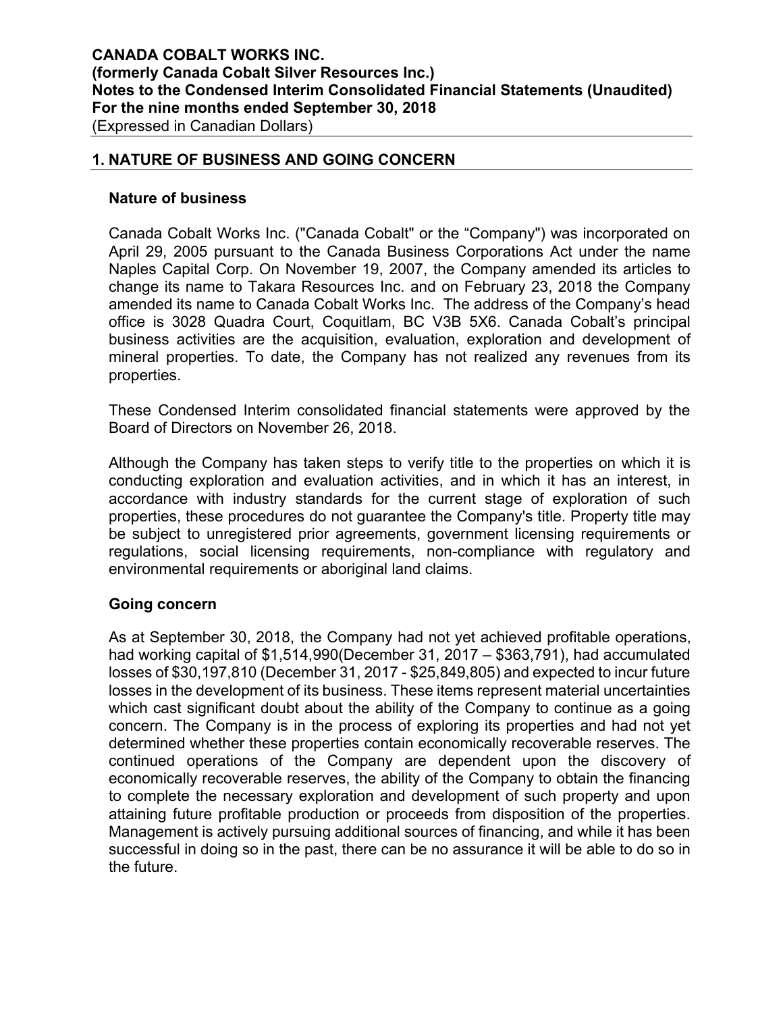#### **1. NATURE OF BUSINESS AND GOING CONCERN**

#### **Nature of business**

Canada Cobalt Works Inc. ("Canada Cobalt" or the "Company") was incorporated on April 29, 2005 pursuant to the Canada Business Corporations Act under the name Naples Capital Corp. On November 19, 2007, the Company amended its articles to change its name to Takara Resources Inc. and on February 23, 2018 the Company amended its name to Canada Cobalt Works Inc. The address of the Company's head office is 3028 Quadra Court, Coquitlam, BC V3B 5X6. Canada Cobalt's principal business activities are the acquisition, evaluation, exploration and development of mineral properties. To date, the Company has not realized any revenues from its properties.

These Condensed Interim consolidated financial statements were approved by the Board of Directors on November 26, 2018.

Although the Company has taken steps to verify title to the properties on which it is conducting exploration and evaluation activities, and in which it has an interest, in accordance with industry standards for the current stage of exploration of such properties, these procedures do not guarantee the Company's title. Property title may be subject to unregistered prior agreements, government licensing requirements or regulations, social licensing requirements, non-compliance with regulatory and environmental requirements or aboriginal land claims.

#### **Going concern**

As at September 30, 2018, the Company had not yet achieved profitable operations, had working capital of \$1,514,990(December 31, 2017 – \$363,791), had accumulated losses of \$30,197,810 (December 31, 2017 - \$25,849,805) and expected to incur future losses in the development of its business. These items represent material uncertainties which cast significant doubt about the ability of the Company to continue as a going concern. The Company is in the process of exploring its properties and had not yet determined whether these properties contain economically recoverable reserves. The continued operations of the Company are dependent upon the discovery of economically recoverable reserves, the ability of the Company to obtain the financing to complete the necessary exploration and development of such property and upon attaining future profitable production or proceeds from disposition of the properties. Management is actively pursuing additional sources of financing, and while it has been successful in doing so in the past, there can be no assurance it will be able to do so in the future.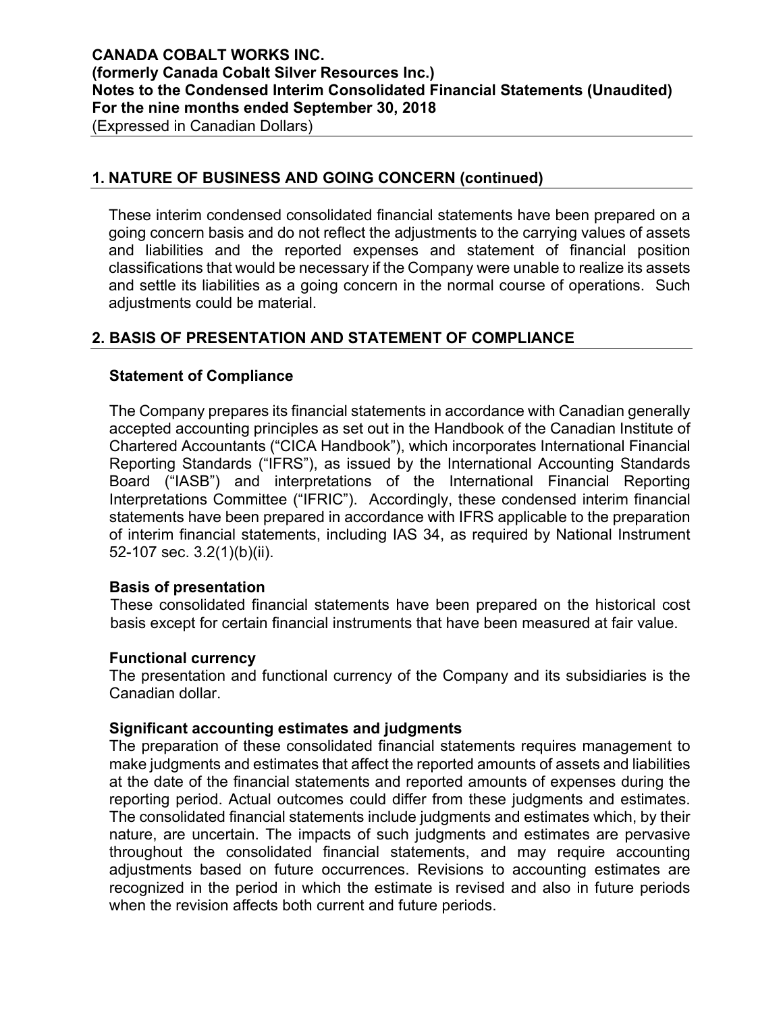#### **1. NATURE OF BUSINESS AND GOING CONCERN (continued)**

These interim condensed consolidated financial statements have been prepared on a going concern basis and do not reflect the adjustments to the carrying values of assets and liabilities and the reported expenses and statement of financial position classifications that would be necessary if the Company were unable to realize its assets and settle its liabilities as a going concern in the normal course of operations. Such adjustments could be material.

# **2. BASIS OF PRESENTATION AND STATEMENT OF COMPLIANCE**

# **Statement of Compliance**

The Company prepares its financial statements in accordance with Canadian generally accepted accounting principles as set out in the Handbook of the Canadian Institute of Chartered Accountants ("CICA Handbook"), which incorporates International Financial Reporting Standards ("IFRS"), as issued by the International Accounting Standards Board ("IASB") and interpretations of the International Financial Reporting Interpretations Committee ("IFRIC"). Accordingly, these condensed interim financial statements have been prepared in accordance with IFRS applicable to the preparation of interim financial statements, including IAS 34, as required by National Instrument 52-107 sec. 3.2(1)(b)(ii).

#### **Basis of presentation**

These consolidated financial statements have been prepared on the historical cost basis except for certain financial instruments that have been measured at fair value.

#### **Functional currency**

The presentation and functional currency of the Company and its subsidiaries is the Canadian dollar.

#### **Significant accounting estimates and judgments**

The preparation of these consolidated financial statements requires management to make judgments and estimates that affect the reported amounts of assets and liabilities at the date of the financial statements and reported amounts of expenses during the reporting period. Actual outcomes could differ from these judgments and estimates. The consolidated financial statements include judgments and estimates which, by their nature, are uncertain. The impacts of such judgments and estimates are pervasive throughout the consolidated financial statements, and may require accounting adjustments based on future occurrences. Revisions to accounting estimates are recognized in the period in which the estimate is revised and also in future periods when the revision affects both current and future periods.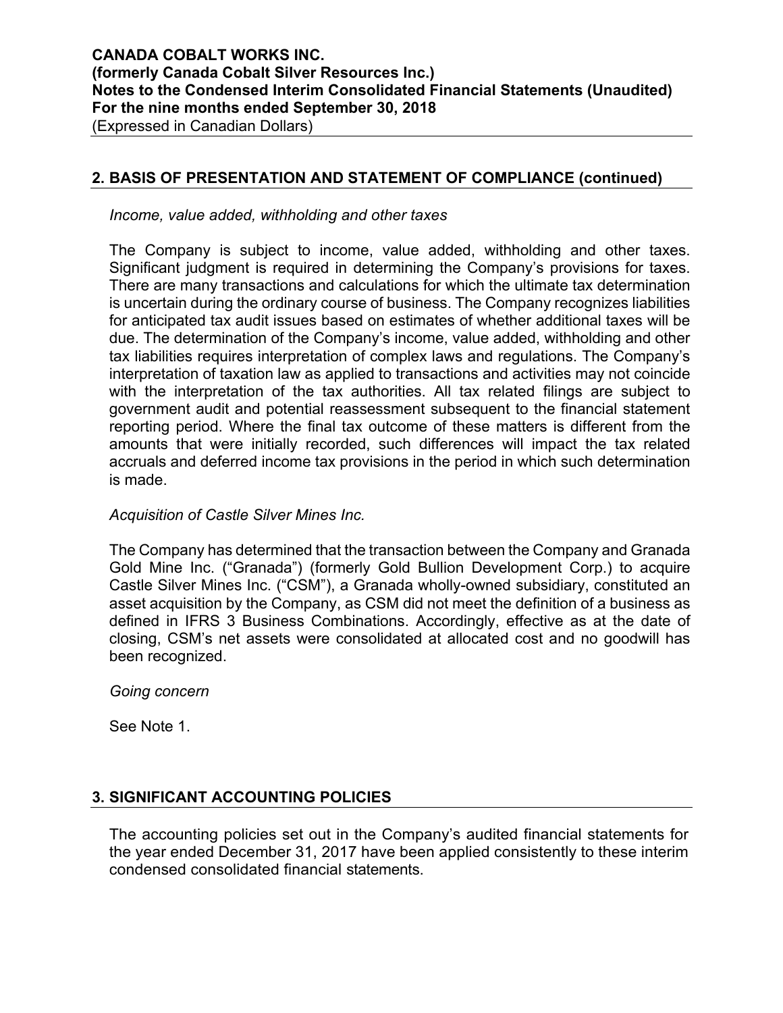# **2. BASIS OF PRESENTATION AND STATEMENT OF COMPLIANCE (continued)**

*Income, value added, withholding and other taxes* 

The Company is subject to income, value added, withholding and other taxes. Significant judgment is required in determining the Company's provisions for taxes. There are many transactions and calculations for which the ultimate tax determination is uncertain during the ordinary course of business. The Company recognizes liabilities for anticipated tax audit issues based on estimates of whether additional taxes will be due. The determination of the Company's income, value added, withholding and other tax liabilities requires interpretation of complex laws and regulations. The Company's interpretation of taxation law as applied to transactions and activities may not coincide with the interpretation of the tax authorities. All tax related filings are subject to government audit and potential reassessment subsequent to the financial statement reporting period. Where the final tax outcome of these matters is different from the amounts that were initially recorded, such differences will impact the tax related accruals and deferred income tax provisions in the period in which such determination is made.

#### *Acquisition of Castle Silver Mines Inc.*

The Company has determined that the transaction between the Company and Granada Gold Mine Inc. ("Granada") (formerly Gold Bullion Development Corp.) to acquire Castle Silver Mines Inc. ("CSM"), a Granada wholly-owned subsidiary, constituted an asset acquisition by the Company, as CSM did not meet the definition of a business as defined in IFRS 3 Business Combinations. Accordingly, effective as at the date of closing, CSM's net assets were consolidated at allocated cost and no goodwill has been recognized.

*Going concern* 

See Note 1.

# **3. SIGNIFICANT ACCOUNTING POLICIES**

The accounting policies set out in the Company's audited financial statements for the year ended December 31, 2017 have been applied consistently to these interim condensed consolidated financial statements.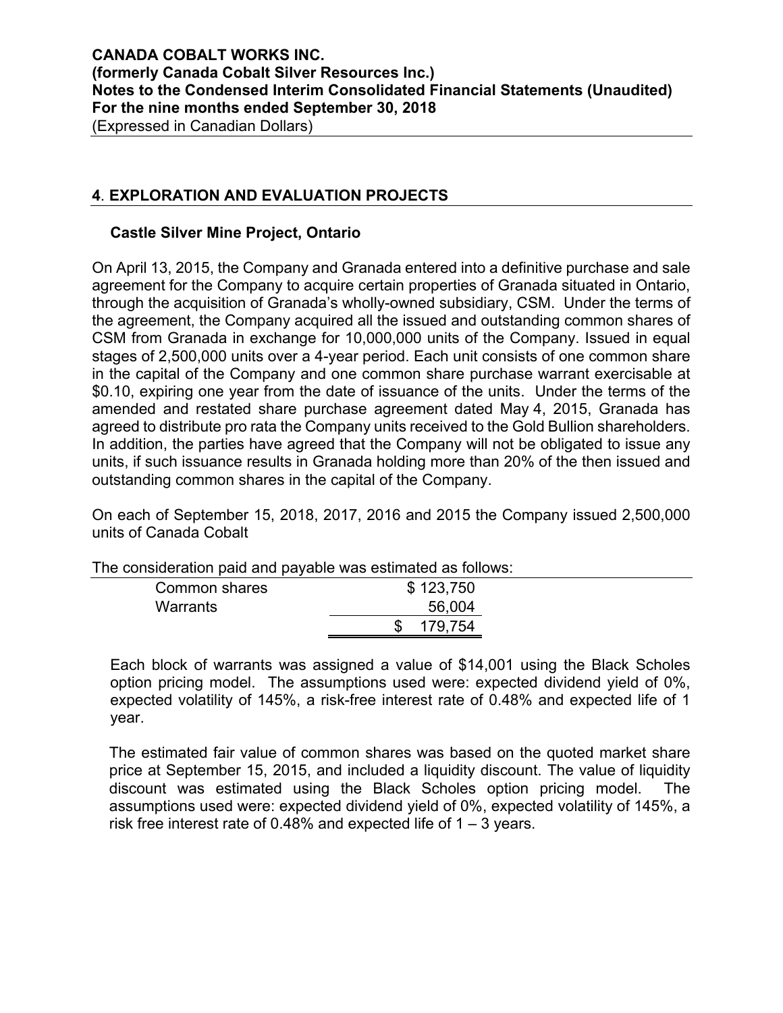# **4**. **EXPLORATION AND EVALUATION PROJECTS**

#### **Castle Silver Mine Project, Ontario**

On April 13, 2015, the Company and Granada entered into a definitive purchase and sale agreement for the Company to acquire certain properties of Granada situated in Ontario, through the acquisition of Granada's wholly-owned subsidiary, CSM. Under the terms of the agreement, the Company acquired all the issued and outstanding common shares of CSM from Granada in exchange for 10,000,000 units of the Company. Issued in equal stages of 2,500,000 units over a 4-year period. Each unit consists of one common share in the capital of the Company and one common share purchase warrant exercisable at \$0.10, expiring one year from the date of issuance of the units. Under the terms of the amended and restated share purchase agreement dated May 4, 2015, Granada has agreed to distribute pro rata the Company units received to the Gold Bullion shareholders. In addition, the parties have agreed that the Company will not be obligated to issue any units, if such issuance results in Granada holding more than 20% of the then issued and outstanding common shares in the capital of the Company.

On each of September 15, 2018, 2017, 2016 and 2015 the Company issued 2,500,000 units of Canada Cobalt

| <u>HIG CONSIGERING I DAIG AND PAYADIG WAS GSIMMAGU AS IUMUWS.</u> |           |  |  |  |  |  |  |
|-------------------------------------------------------------------|-----------|--|--|--|--|--|--|
| Common shares                                                     | \$123,750 |  |  |  |  |  |  |
| Warrants                                                          | 56,004    |  |  |  |  |  |  |
|                                                                   | 179.754   |  |  |  |  |  |  |
|                                                                   |           |  |  |  |  |  |  |

The consideration paid and payable was estimated as follows:

Each block of warrants was assigned a value of \$14,001 using the Black Scholes option pricing model. The assumptions used were: expected dividend yield of 0%, expected volatility of 145%, a risk-free interest rate of 0.48% and expected life of 1 year.

The estimated fair value of common shares was based on the quoted market share price at September 15, 2015, and included a liquidity discount. The value of liquidity discount was estimated using the Black Scholes option pricing model. The assumptions used were: expected dividend yield of 0%, expected volatility of 145%, a risk free interest rate of 0.48% and expected life of  $1 - 3$  years.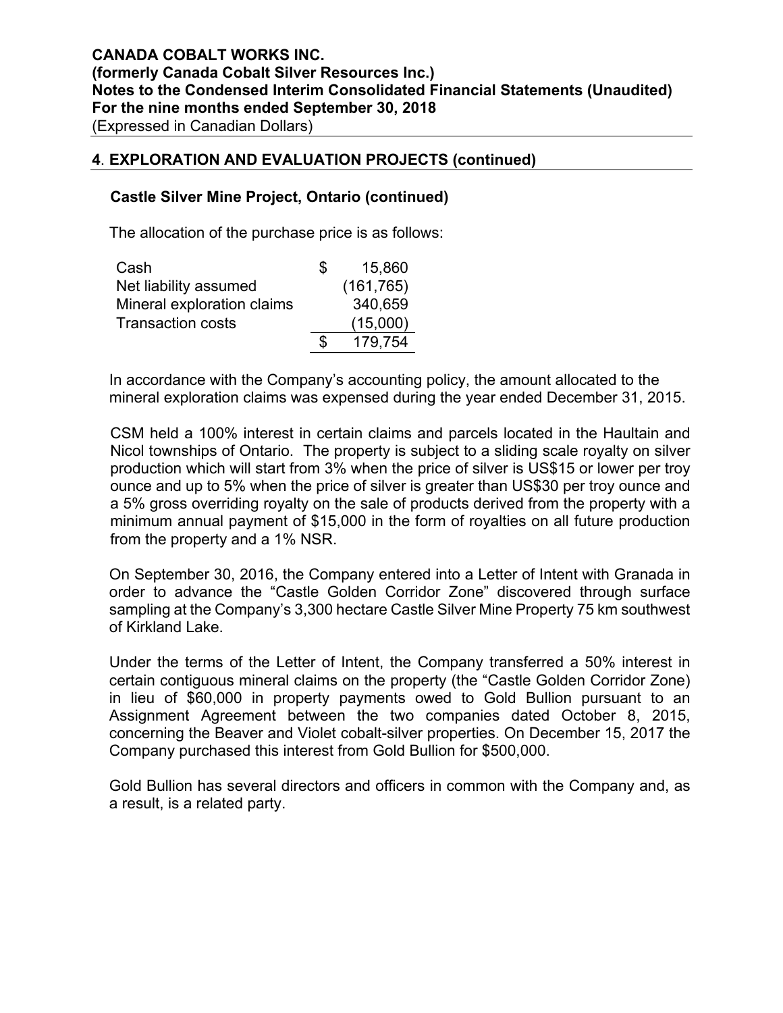#### **4**. **EXPLORATION AND EVALUATION PROJECTS (continued)**

#### **Castle Silver Mine Project, Ontario (continued)**

The allocation of the purchase price is as follows:

| Cash                       | æ. | 15,860     |
|----------------------------|----|------------|
| Net liability assumed      |    | (161, 765) |
| Mineral exploration claims |    | 340,659    |
| <b>Transaction costs</b>   |    | (15,000)   |
|                            | S. | 179.754    |

In accordance with the Company's accounting policy, the amount allocated to the mineral exploration claims was expensed during the year ended December 31, 2015.

CSM held a 100% interest in certain claims and parcels located in the Haultain and Nicol townships of Ontario. The property is subject to a sliding scale royalty on silver production which will start from 3% when the price of silver is US\$15 or lower per troy ounce and up to 5% when the price of silver is greater than US\$30 per troy ounce and a 5% gross overriding royalty on the sale of products derived from the property with a minimum annual payment of \$15,000 in the form of royalties on all future production from the property and a 1% NSR.

On September 30, 2016, the Company entered into a Letter of Intent with Granada in order to advance the "Castle Golden Corridor Zone" discovered through surface sampling at the Company's 3,300 hectare Castle Silver Mine Property 75 km southwest of Kirkland Lake.

Under the terms of the Letter of Intent, the Company transferred a 50% interest in certain contiguous mineral claims on the property (the "Castle Golden Corridor Zone) in lieu of \$60,000 in property payments owed to Gold Bullion pursuant to an Assignment Agreement between the two companies dated October 8, 2015, concerning the Beaver and Violet cobalt-silver properties. On December 15, 2017 the Company purchased this interest from Gold Bullion for \$500,000.

Gold Bullion has several directors and officers in common with the Company and, as a result, is a related party.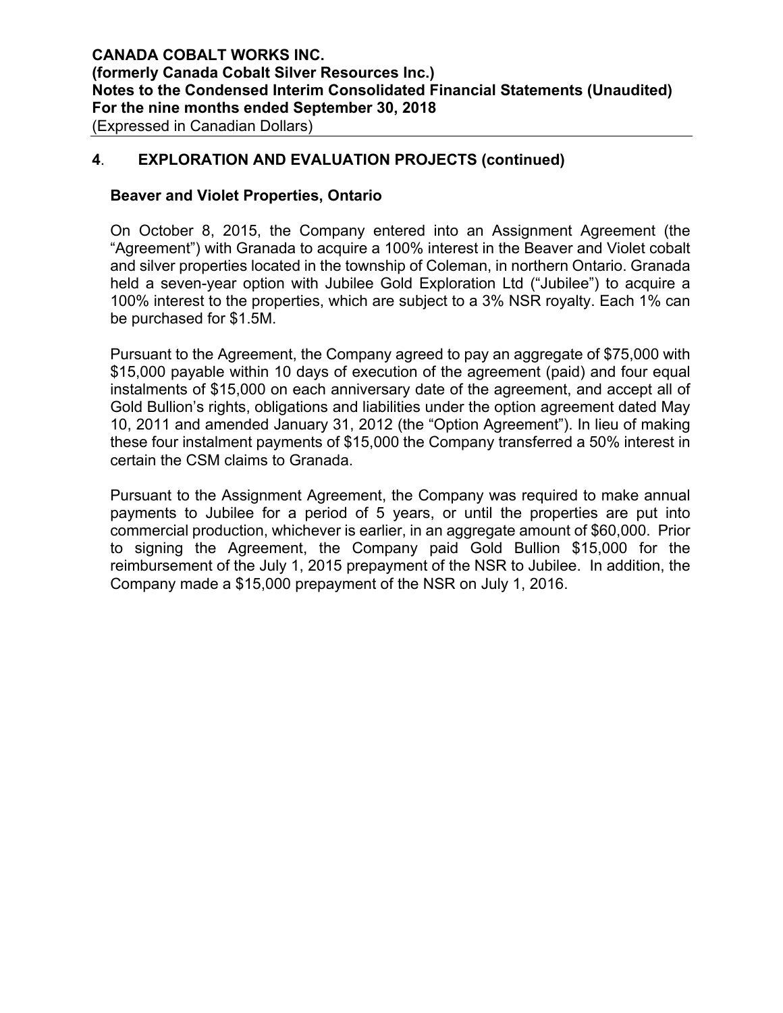#### **4**. **EXPLORATION AND EVALUATION PROJECTS (continued)**

#### **Beaver and Violet Properties, Ontario**

On October 8, 2015, the Company entered into an Assignment Agreement (the "Agreement") with Granada to acquire a 100% interest in the Beaver and Violet cobalt and silver properties located in the township of Coleman, in northern Ontario. Granada held a seven-year option with Jubilee Gold Exploration Ltd ("Jubilee") to acquire a 100% interest to the properties, which are subject to a 3% NSR royalty. Each 1% can be purchased for \$1.5M.

Pursuant to the Agreement, the Company agreed to pay an aggregate of \$75,000 with \$15,000 payable within 10 days of execution of the agreement (paid) and four equal instalments of \$15,000 on each anniversary date of the agreement, and accept all of Gold Bullion's rights, obligations and liabilities under the option agreement dated May 10, 2011 and amended January 31, 2012 (the "Option Agreement"). In lieu of making these four instalment payments of \$15,000 the Company transferred a 50% interest in certain the CSM claims to Granada.

Pursuant to the Assignment Agreement, the Company was required to make annual payments to Jubilee for a period of 5 years, or until the properties are put into commercial production, whichever is earlier, in an aggregate amount of \$60,000. Prior to signing the Agreement, the Company paid Gold Bullion \$15,000 for the reimbursement of the July 1, 2015 prepayment of the NSR to Jubilee. In addition, the Company made a \$15,000 prepayment of the NSR on July 1, 2016.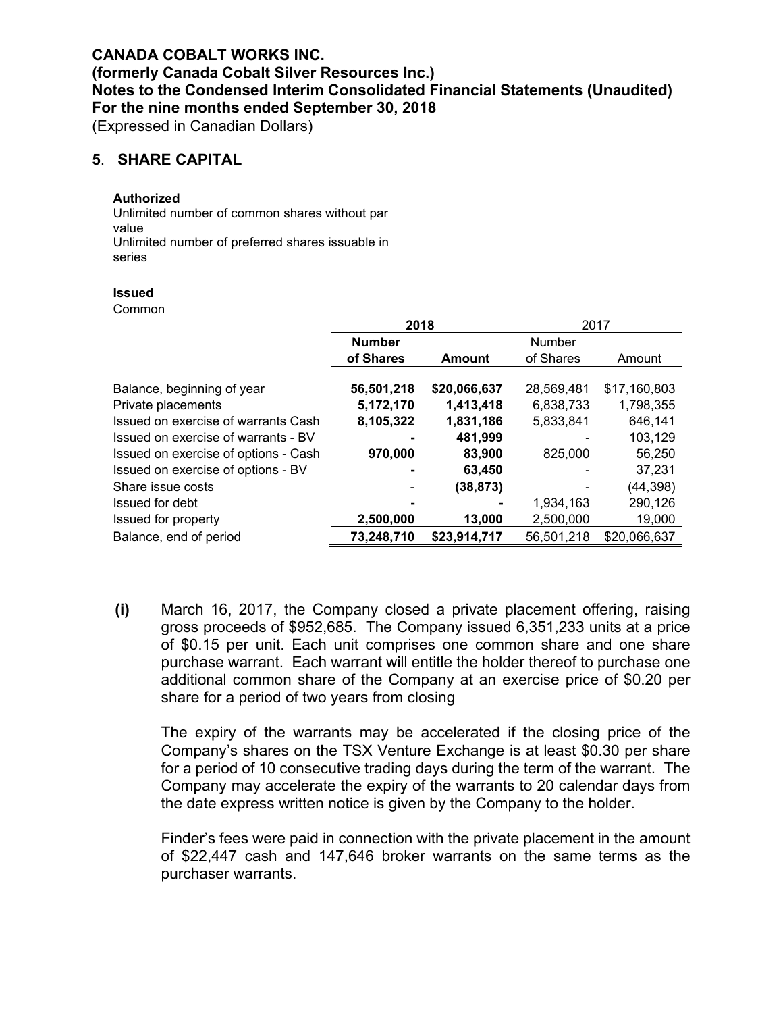(Expressed in Canadian Dollars)

#### **5**. **SHARE CAPITAL**

#### **Authorized**

Unlimited number of common shares without par value<br>Unlimited number of preferred shares issuable in series

#### **Issued**

Common

|                                      | 2018          |              | 2017          |              |  |  |
|--------------------------------------|---------------|--------------|---------------|--------------|--|--|
|                                      | <b>Number</b> |              | <b>Number</b> |              |  |  |
|                                      | of Shares     | Amount       | of Shares     | Amount       |  |  |
| Balance, beginning of year           | 56,501,218    | \$20,066,637 | 28,569,481    | \$17,160,803 |  |  |
| Private placements                   | 5,172,170     | 1,413,418    | 6,838,733     | 1,798,355    |  |  |
| Issued on exercise of warrants Cash  | 8,105,322     | 1,831,186    | 5,833,841     | 646,141      |  |  |
| Issued on exercise of warrants - BV  |               | 481,999      |               | 103,129      |  |  |
| Issued on exercise of options - Cash | 970,000       | 83,900       | 825,000       | 56,250       |  |  |
| Issued on exercise of options - BV   |               | 63,450       |               | 37,231       |  |  |
| Share issue costs                    |               | (38, 873)    |               | (44, 398)    |  |  |
| Issued for debt                      |               | ۰            | 1.934.163     | 290,126      |  |  |
| Issued for property                  | 2,500,000     | 13,000       | 2,500,000     | 19,000       |  |  |
| Balance, end of period               | 73,248,710    | \$23,914,717 | 56,501,218    | \$20,066,637 |  |  |

**(i)** March 16, 2017, the Company closed a private placement offering, raising gross proceeds of \$952,685. The Company issued 6,351,233 units at a price of \$0.15 per unit. Each unit comprises one common share and one share purchase warrant. Each warrant will entitle the holder thereof to purchase one additional common share of the Company at an exercise price of \$0.20 per share for a period of two years from closing

The expiry of the warrants may be accelerated if the closing price of the Company's shares on the TSX Venture Exchange is at least \$0.30 per share for a period of 10 consecutive trading days during the term of the warrant. The Company may accelerate the expiry of the warrants to 20 calendar days from the date express written notice is given by the Company to the holder.

Finder's fees were paid in connection with the private placement in the amount of \$22,447 cash and 147,646 broker warrants on the same terms as the purchaser warrants.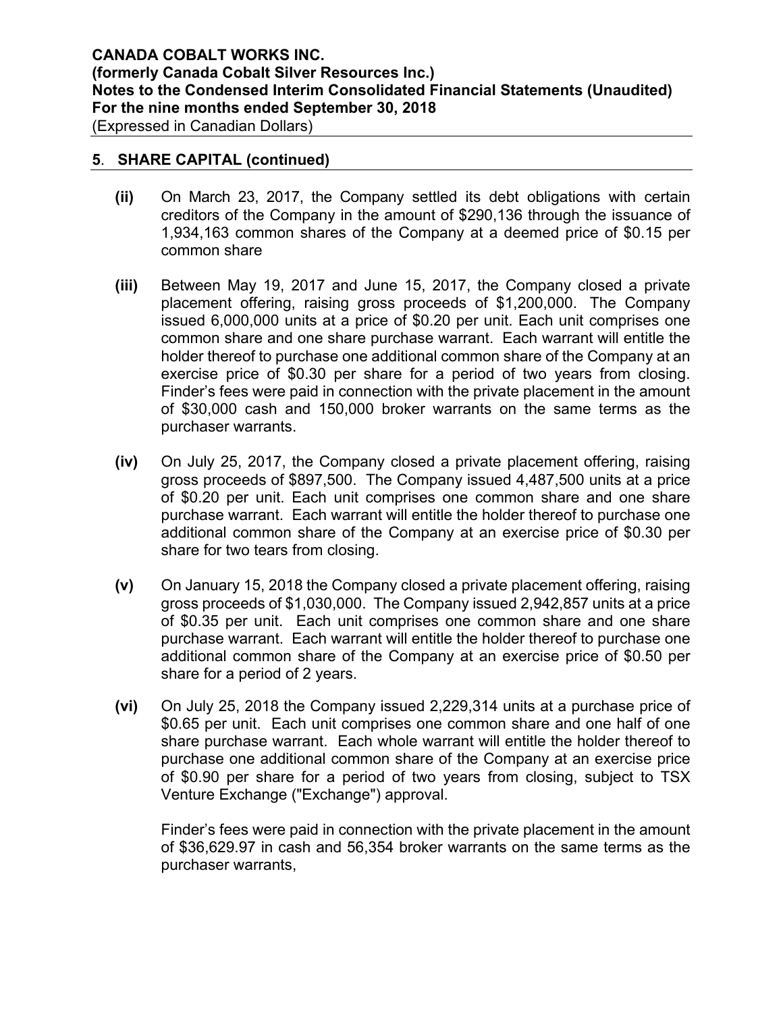(Expressed in Canadian Dollars)

#### **5**. **SHARE CAPITAL (continued)**

- **(ii)** On March 23, 2017, the Company settled its debt obligations with certain creditors of the Company in the amount of \$290,136 through the issuance of 1,934,163 common shares of the Company at a deemed price of \$0.15 per common share
- **(iii)** Between May 19, 2017 and June 15, 2017, the Company closed a private placement offering, raising gross proceeds of \$1,200,000. The Company issued 6,000,000 units at a price of \$0.20 per unit. Each unit comprises one common share and one share purchase warrant. Each warrant will entitle the holder thereof to purchase one additional common share of the Company at an exercise price of \$0.30 per share for a period of two years from closing. Finder's fees were paid in connection with the private placement in the amount of \$30,000 cash and 150,000 broker warrants on the same terms as the purchaser warrants.
- **(iv)** On July 25, 2017, the Company closed a private placement offering, raising gross proceeds of \$897,500. The Company issued 4,487,500 units at a price of \$0.20 per unit. Each unit comprises one common share and one share purchase warrant. Each warrant will entitle the holder thereof to purchase one additional common share of the Company at an exercise price of \$0.30 per share for two tears from closing.
- **(v)** On January 15, 2018 the Company closed a private placement offering, raising gross proceeds of \$1,030,000. The Company issued 2,942,857 units at a price of \$0.35 per unit. Each unit comprises one common share and one share purchase warrant. Each warrant will entitle the holder thereof to purchase one additional common share of the Company at an exercise price of \$0.50 per share for a period of 2 years.
- **(vi)** On July 25, 2018 the Company issued 2,229,314 units at a purchase price of \$0.65 per unit. Each unit comprises one common share and one half of one share purchase warrant. Each whole warrant will entitle the holder thereof to purchase one additional common share of the Company at an exercise price of \$0.90 per share for a period of two years from closing, subject to TSX Venture Exchange ("Exchange") approval.

Finder's fees were paid in connection with the private placement in the amount of \$36,629.97 in cash and 56,354 broker warrants on the same terms as the purchaser warrants,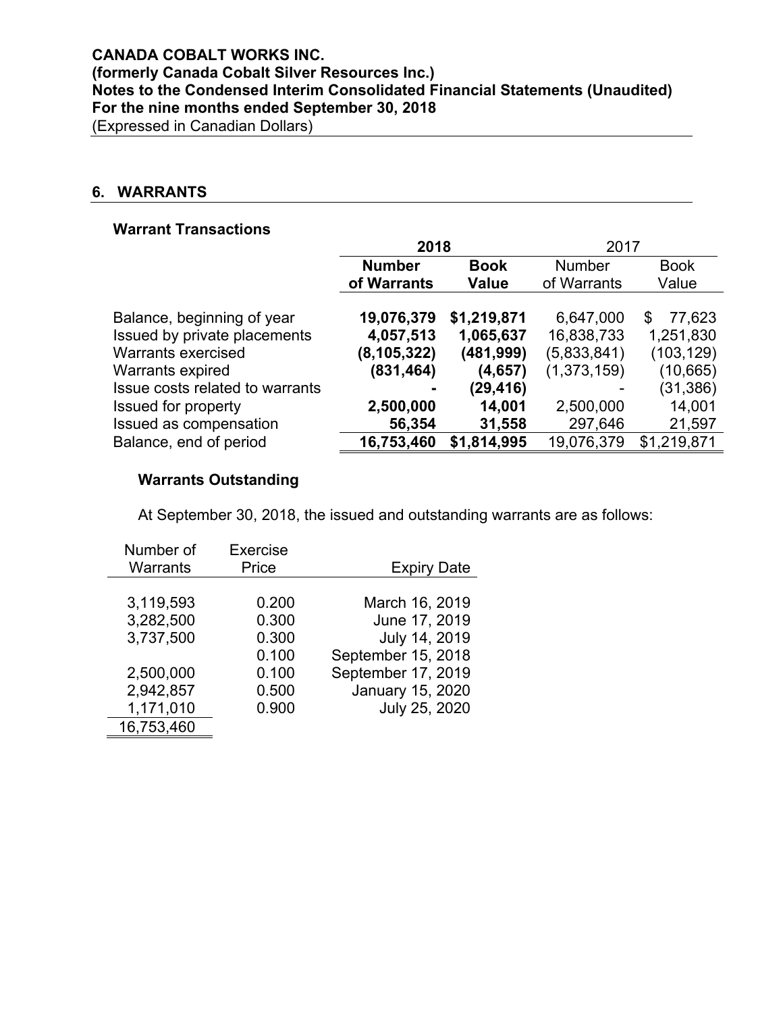# **6. WARRANTS**

# **Warrant Transactions**

|                                 | 2018          |              | 2017          |             |  |  |
|---------------------------------|---------------|--------------|---------------|-------------|--|--|
|                                 | <b>Number</b> | <b>Book</b>  | <b>Number</b> | <b>Book</b> |  |  |
|                                 | of Warrants   | <b>Value</b> | of Warrants   | Value       |  |  |
|                                 |               |              |               |             |  |  |
| Balance, beginning of year      | 19,076,379    | \$1,219,871  | 6,647,000     | 77,623<br>S |  |  |
| Issued by private placements    | 4,057,513     | 1,065,637    | 16,838,733    | 1,251,830   |  |  |
| <b>Warrants exercised</b>       | (8, 105, 322) | (481,999)    | (5,833,841)   | (103, 129)  |  |  |
| Warrants expired                | (831, 464)    | (4,657)      | (1,373,159)   | (10, 665)   |  |  |
| Issue costs related to warrants |               | (29, 416)    |               | (31, 386)   |  |  |
| <b>Issued for property</b>      | 2,500,000     | 14,001       | 2,500,000     | 14,001      |  |  |
| Issued as compensation          | 56,354        | 31,558       | 297,646       | 21,597      |  |  |
| Balance, end of period          | 16,753,460    | \$1,814,995  | 19,076,379    | \$1,219,871 |  |  |

# **Warrants Outstanding**

At September 30, 2018, the issued and outstanding warrants are as follows:

| Number of       | Exercise |                         |
|-----------------|----------|-------------------------|
| <b>Warrants</b> | Price    | <b>Expiry Date</b>      |
|                 |          |                         |
| 3,119,593       | 0.200    | March 16, 2019          |
| 3,282,500       | 0.300    | June 17, 2019           |
| 3,737,500       | 0.300    | July 14, 2019           |
|                 | 0.100    | September 15, 2018      |
| 2,500,000       | 0.100    | September 17, 2019      |
| 2,942,857       | 0.500    | <b>January 15, 2020</b> |
| 1,171,010       | 0.900    | July 25, 2020           |
| 16,753,460      |          |                         |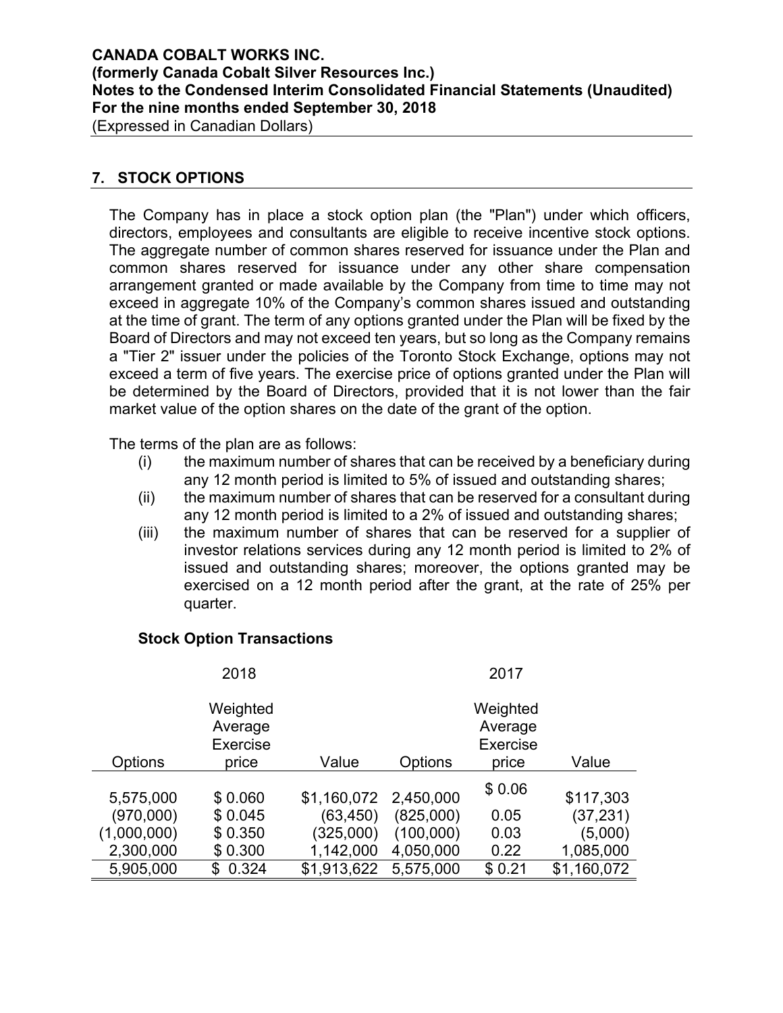# **CANADA COBALT WORKS INC. (formerly Canada Cobalt Silver Resources Inc.) Notes to the Condensed Interim Consolidated Financial Statements (Unaudited) For the nine months ended September 30, 2018**

(Expressed in Canadian Dollars)

# **7. STOCK OPTIONS**

The Company has in place a stock option plan (the "Plan") under which officers, directors, employees and consultants are eligible to receive incentive stock options. The aggregate number of common shares reserved for issuance under the Plan and common shares reserved for issuance under any other share compensation arrangement granted or made available by the Company from time to time may not exceed in aggregate 10% of the Company's common shares issued and outstanding at the time of grant. The term of any options granted under the Plan will be fixed by the Board of Directors and may not exceed ten years, but so long as the Company remains a "Tier 2" issuer under the policies of the Toronto Stock Exchange, options may not exceed a term of five years. The exercise price of options granted under the Plan will be determined by the Board of Directors, provided that it is not lower than the fair market value of the option shares on the date of the grant of the option.

The terms of the plan are as follows:

- (i) the maximum number of shares that can be received by a beneficiary during any 12 month period is limited to 5% of issued and outstanding shares;
- (ii) the maximum number of shares that can be reserved for a consultant during any 12 month period is limited to a 2% of issued and outstanding shares;
- (iii) the maximum number of shares that can be reserved for a supplier of investor relations services during any 12 month period is limited to 2% of issued and outstanding shares; moreover, the options granted may be exercised on a 12 month period after the grant, at the rate of 25% per quarter.

#### **Stock Option Transactions**

|             | 2018                                   |             |           | 2017                            |             |
|-------------|----------------------------------------|-------------|-----------|---------------------------------|-------------|
|             | Weighted<br>Average<br><b>Exercise</b> |             |           | Weighted<br>Average<br>Exercise |             |
| Options     | price                                  | Value       | Options   | price                           | Value       |
| 5,575,000   | \$0.060                                | \$1,160,072 | 2,450,000 | \$0.06                          | \$117,303   |
| (970,000)   | \$0.045                                | (63, 450)   | (825,000) | 0.05                            | (37, 231)   |
| (1,000,000) | \$0.350                                | (325,000)   | (100,000) | 0.03                            | (5,000)     |
| 2,300,000   | \$0.300                                | 1,142,000   | 4,050,000 | 0.22                            | 1,085,000   |
| 5,905,000   | 0.324<br>\$.                           | \$1,913,622 | 5,575,000 | \$0.21                          | \$1,160,072 |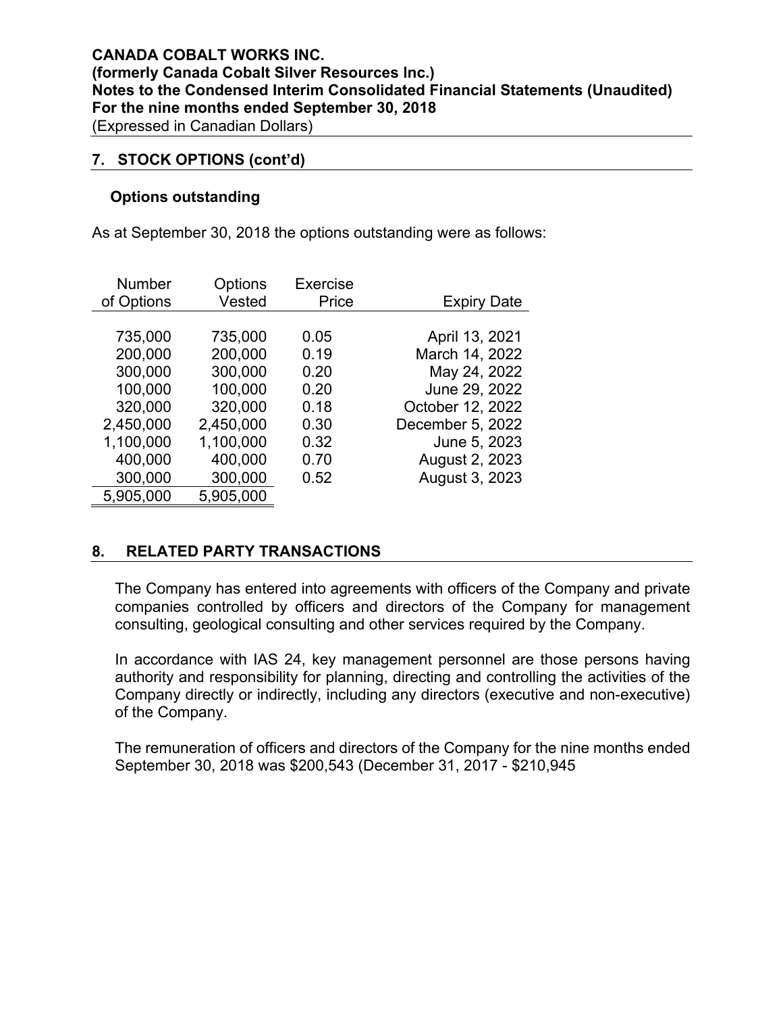#### **7. STOCK OPTIONS (cont'd)**

#### **Options outstanding**

As at September 30, 2018 the options outstanding were as follows:

| <b>Number</b>                                                                                                    | Options                                                                                                          | <b>Exercise</b>                                                      | <b>Expiry Date</b>                                                                                                                                            |
|------------------------------------------------------------------------------------------------------------------|------------------------------------------------------------------------------------------------------------------|----------------------------------------------------------------------|---------------------------------------------------------------------------------------------------------------------------------------------------------------|
| of Options                                                                                                       | Vested                                                                                                           | Price                                                                |                                                                                                                                                               |
| 735,000<br>200,000<br>300,000<br>100,000<br>320,000<br>2,450,000<br>1,100,000<br>400,000<br>300,000<br>5,905,000 | 735,000<br>200,000<br>300,000<br>100,000<br>320,000<br>2,450,000<br>1,100,000<br>400,000<br>300,000<br>5,905,000 | 0.05<br>0.19<br>0.20<br>0.20<br>0.18<br>0.30<br>0.32<br>0.70<br>0.52 | April 13, 2021<br>March 14, 2022<br>May 24, 2022<br>June 29, 2022<br>October 12, 2022<br>December 5, 2022<br>June 5, 2023<br>August 2, 2023<br>August 3, 2023 |

# **8. RELATED PARTY TRANSACTIONS**

The Company has entered into agreements with officers of the Company and private companies controlled by officers and directors of the Company for management consulting, geological consulting and other services required by the Company.

In accordance with IAS 24, key management personnel are those persons having authority and responsibility for planning, directing and controlling the activities of the Company directly or indirectly, including any directors (executive and non-executive) of the Company.

The remuneration of officers and directors of the Company for the nine months ended September 30, 2018 was \$200,543 (December 31, 2017 - \$210,945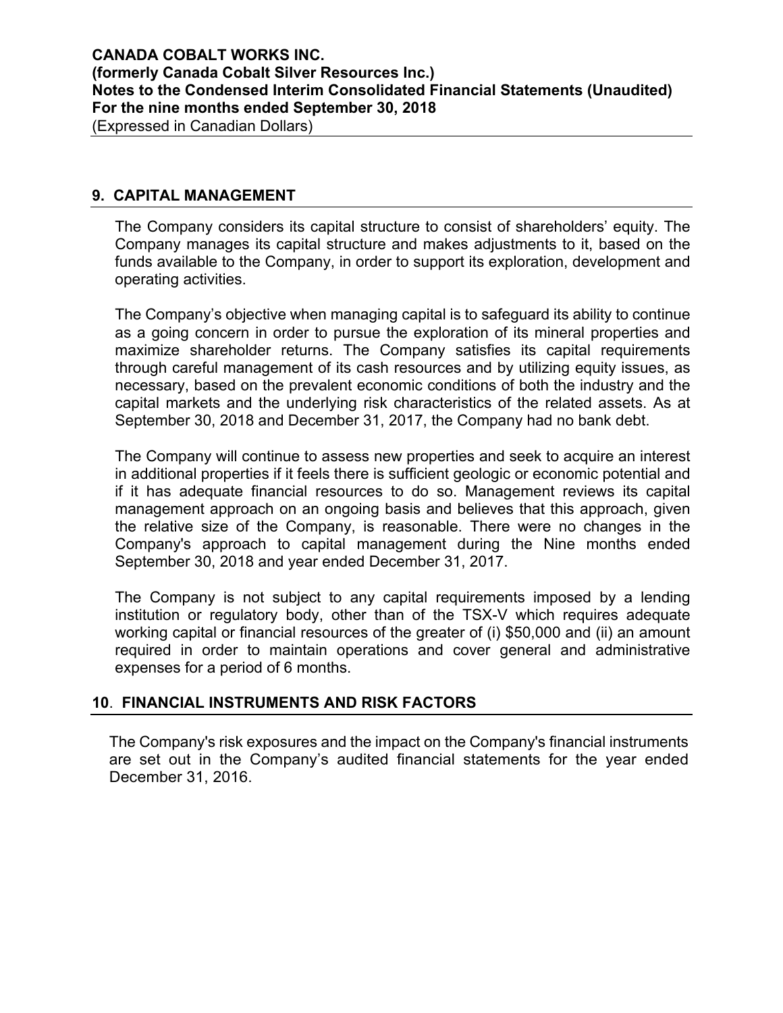# **9. CAPITAL MANAGEMENT**

The Company considers its capital structure to consist of shareholders' equity. The Company manages its capital structure and makes adjustments to it, based on the funds available to the Company, in order to support its exploration, development and operating activities.

The Company's objective when managing capital is to safeguard its ability to continue as a going concern in order to pursue the exploration of its mineral properties and maximize shareholder returns. The Company satisfies its capital requirements through careful management of its cash resources and by utilizing equity issues, as necessary, based on the prevalent economic conditions of both the industry and the capital markets and the underlying risk characteristics of the related assets. As at September 30, 2018 and December 31, 2017, the Company had no bank debt.

The Company will continue to assess new properties and seek to acquire an interest in additional properties if it feels there is sufficient geologic or economic potential and if it has adequate financial resources to do so. Management reviews its capital management approach on an ongoing basis and believes that this approach, given the relative size of the Company, is reasonable. There were no changes in the Company's approach to capital management during the Nine months ended September 30, 2018 and year ended December 31, 2017.

The Company is not subject to any capital requirements imposed by a lending institution or regulatory body, other than of the TSX-V which requires adequate working capital or financial resources of the greater of (i) \$50,000 and (ii) an amount required in order to maintain operations and cover general and administrative expenses for a period of 6 months.

#### **10**. **FINANCIAL INSTRUMENTS AND RISK FACTORS**

The Company's risk exposures and the impact on the Company's financial instruments are set out in the Company's audited financial statements for the year ended December 31, 2016.